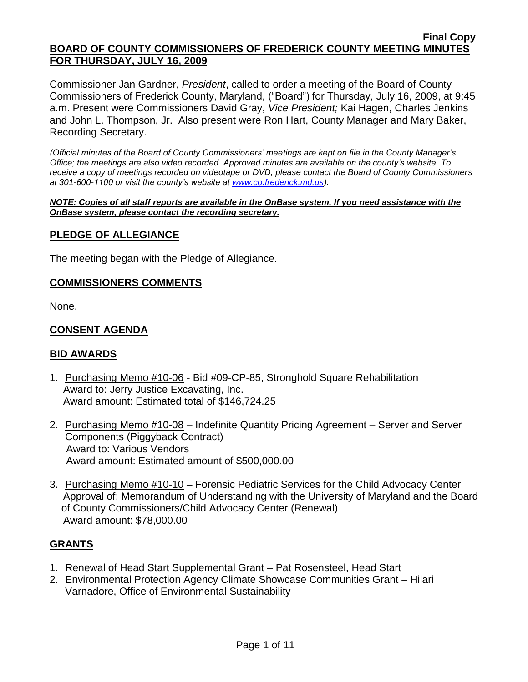Commissioner Jan Gardner, *President*, called to order a meeting of the Board of County Commissioners of Frederick County, Maryland, ("Board") for Thursday, July 16, 2009, at 9:45 a.m. Present were Commissioners David Gray, *Vice President;* Kai Hagen, Charles Jenkins and John L. Thompson, Jr. Also present were Ron Hart, County Manager and Mary Baker, Recording Secretary.

*(Official minutes of the Board of County Commissioners' meetings are kept on file in the County Manager's Office; the meetings are also video recorded. Approved minutes are available on the county's website. To receive a copy of meetings recorded on videotape or DVD, please contact the Board of County Commissioners at 301-600-1100 or visit the county's website at [www.co.frederick.md.us\)](http://www.co.frederick.md.us/).*

#### *NOTE: Copies of all staff reports are available in the OnBase system. If you need assistance with the OnBase system, please contact the recording secretary.*

## **PLEDGE OF ALLEGIANCE**

The meeting began with the Pledge of Allegiance.

#### **COMMISSIONERS COMMENTS**

None.

## **CONSENT AGENDA**

## **BID AWARDS**

- 1. Purchasing Memo #10-06 Bid #09-CP-85, Stronghold Square Rehabilitation Award to: Jerry Justice Excavating, Inc. Award amount: Estimated total of \$146,724.25
- 2. Purchasing Memo #10-08 Indefinite Quantity Pricing Agreement Server and Server Components (Piggyback Contract) Award to: Various Vendors Award amount: Estimated amount of \$500,000.00
- 3. Purchasing Memo #10-10 Forensic Pediatric Services for the Child Advocacy Center Approval of: Memorandum of Understanding with the University of Maryland and the Board of County Commissioners/Child Advocacy Center (Renewal) Award amount: \$78,000.00

## **GRANTS**

- 1. Renewal of Head Start Supplemental Grant Pat Rosensteel, Head Start
- 2. Environmental Protection Agency Climate Showcase Communities Grant Hilari Varnadore, Office of Environmental Sustainability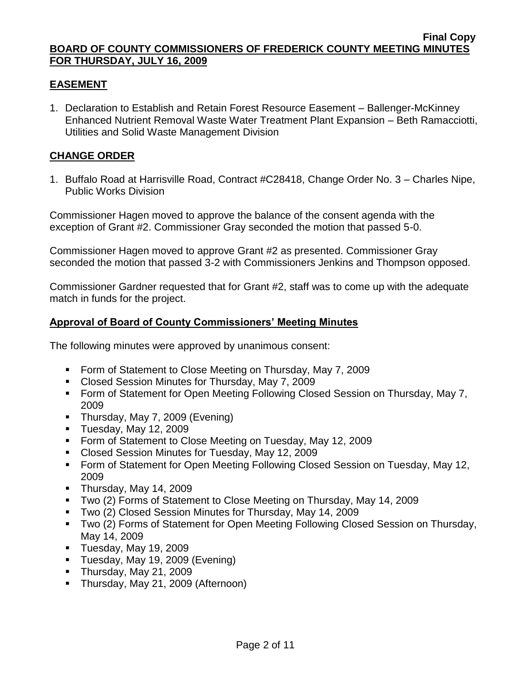## **EASEMENT**

1. Declaration to Establish and Retain Forest Resource Easement – Ballenger-McKinney Enhanced Nutrient Removal Waste Water Treatment Plant Expansion – Beth Ramacciotti, Utilities and Solid Waste Management Division

# **CHANGE ORDER**

1. Buffalo Road at Harrisville Road, Contract #C28418, Change Order No. 3 – Charles Nipe, Public Works Division

Commissioner Hagen moved to approve the balance of the consent agenda with the exception of Grant #2. Commissioner Gray seconded the motion that passed 5-0.

Commissioner Hagen moved to approve Grant #2 as presented. Commissioner Gray seconded the motion that passed 3-2 with Commissioners Jenkins and Thompson opposed.

Commissioner Gardner requested that for Grant #2, staff was to come up with the adequate match in funds for the project.

## **Approval of Board of County Commissioners' Meeting Minutes**

The following minutes were approved by unanimous consent:

- **Form of Statement to Close Meeting on Thursday, May 7, 2009**
- Closed Session Minutes for Thursday, May 7, 2009
- **Form of Statement for Open Meeting Following Closed Session on Thursday, May 7,** 2009
- Thursday, May 7, 2009 (Evening)
- **Tuesday, May 12, 2009**
- **Form of Statement to Close Meeting on Tuesday, May 12, 2009**
- Closed Session Minutes for Tuesday, May 12, 2009
- Form of Statement for Open Meeting Following Closed Session on Tuesday, May 12, 2009
- Thursday, May 14, 2009
- Two (2) Forms of Statement to Close Meeting on Thursday, May 14, 2009
- Two (2) Closed Session Minutes for Thursday, May 14, 2009
- Two (2) Forms of Statement for Open Meeting Following Closed Session on Thursday, May 14, 2009
- $\blacksquare$  Tuesday, May 19, 2009
- Tuesday, May 19, 2009 (Evening)
- Thursday, May 21, 2009
- **Thursday, May 21, 2009 (Afternoon)**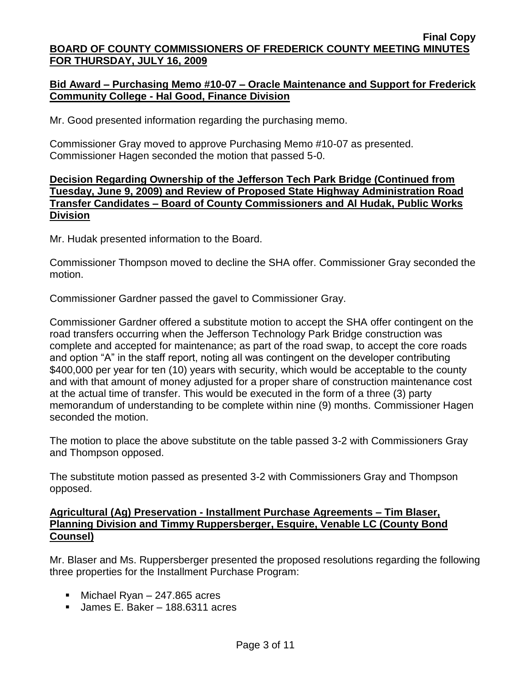## **Bid Award – Purchasing Memo #10-07 – Oracle Maintenance and Support for Frederick Community College - Hal Good, Finance Division**

Mr. Good presented information regarding the purchasing memo.

Commissioner Gray moved to approve Purchasing Memo #10-07 as presented. Commissioner Hagen seconded the motion that passed 5-0.

## **Decision Regarding Ownership of the Jefferson Tech Park Bridge (Continued from Tuesday, June 9, 2009) and Review of Proposed State Highway Administration Road Transfer Candidates – Board of County Commissioners and Al Hudak, Public Works Division**

Mr. Hudak presented information to the Board.

Commissioner Thompson moved to decline the SHA offer. Commissioner Gray seconded the motion.

Commissioner Gardner passed the gavel to Commissioner Gray.

Commissioner Gardner offered a substitute motion to accept the SHA offer contingent on the road transfers occurring when the Jefferson Technology Park Bridge construction was complete and accepted for maintenance; as part of the road swap, to accept the core roads and option "A" in the staff report, noting all was contingent on the developer contributing \$400,000 per year for ten (10) years with security, which would be acceptable to the county and with that amount of money adjusted for a proper share of construction maintenance cost at the actual time of transfer. This would be executed in the form of a three (3) party memorandum of understanding to be complete within nine (9) months. Commissioner Hagen seconded the motion.

The motion to place the above substitute on the table passed 3-2 with Commissioners Gray and Thompson opposed.

The substitute motion passed as presented 3-2 with Commissioners Gray and Thompson opposed.

## **Agricultural (Ag) Preservation - Installment Purchase Agreements – Tim Blaser, Planning Division and Timmy Ruppersberger, Esquire, Venable LC (County Bond Counsel)**

Mr. Blaser and Ms. Ruppersberger presented the proposed resolutions regarding the following three properties for the Installment Purchase Program:

- Michael Ryan 247.865 acres
- James E. Baker 188.6311 acres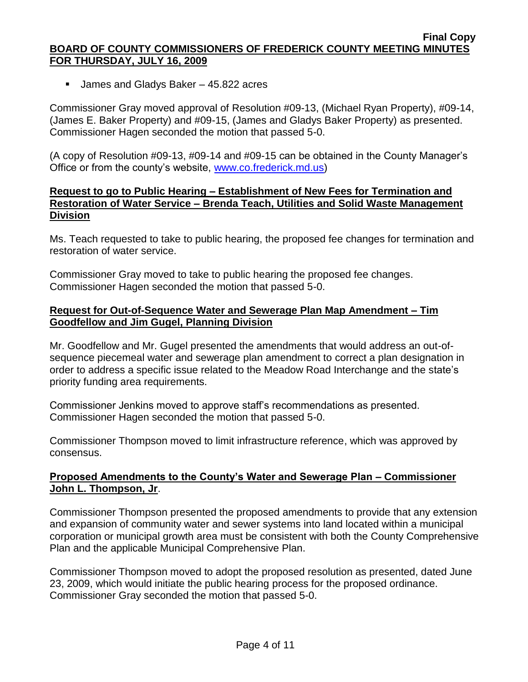■ James and Gladys Baker – 45.822 acres

Commissioner Gray moved approval of Resolution #09-13, (Michael Ryan Property), #09-14, (James E. Baker Property) and #09-15, (James and Gladys Baker Property) as presented. Commissioner Hagen seconded the motion that passed 5-0.

(A copy of Resolution #09-13, #09-14 and #09-15 can be obtained in the County Manager's Office or from the county's website, [www.co.frederick.md.us\)](www.co.frederick.md.us)

## **Request to go to Public Hearing – Establishment of New Fees for Termination and Restoration of Water Service – Brenda Teach, Utilities and Solid Waste Management Division**

Ms. Teach requested to take to public hearing, the proposed fee changes for termination and restoration of water service.

Commissioner Gray moved to take to public hearing the proposed fee changes. Commissioner Hagen seconded the motion that passed 5-0.

## **Request for Out-of-Sequence Water and Sewerage Plan Map Amendment – Tim Goodfellow and Jim Gugel, Planning Division**

Mr. Goodfellow and Mr. Gugel presented the amendments that would address an out-ofsequence piecemeal water and sewerage plan amendment to correct a plan designation in order to address a specific issue related to the Meadow Road Interchange and the state's priority funding area requirements.

Commissioner Jenkins moved to approve staff's recommendations as presented. Commissioner Hagen seconded the motion that passed 5-0.

Commissioner Thompson moved to limit infrastructure reference, which was approved by consensus.

## **Proposed Amendments to the County's Water and Sewerage Plan – Commissioner John L. Thompson, Jr**.

Commissioner Thompson presented the proposed amendments to provide that any extension and expansion of community water and sewer systems into land located within a municipal corporation or municipal growth area must be consistent with both the County Comprehensive Plan and the applicable Municipal Comprehensive Plan.

Commissioner Thompson moved to adopt the proposed resolution as presented, dated June 23, 2009, which would initiate the public hearing process for the proposed ordinance. Commissioner Gray seconded the motion that passed 5-0.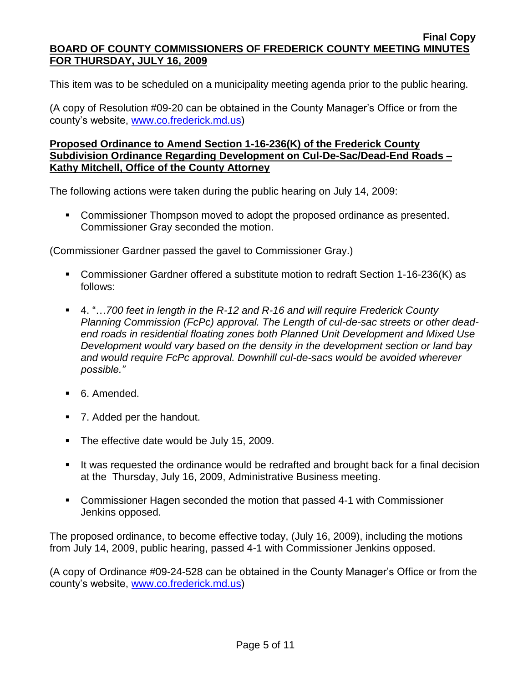This item was to be scheduled on a municipality meeting agenda prior to the public hearing.

(A copy of Resolution #09-20 can be obtained in the County Manager's Office or from the county's website, [www.co.frederick.md.us\)](www.co.frederick.md.us)

## **Proposed Ordinance to Amend Section 1-16-236(K) of the Frederick County Subdivision Ordinance Regarding Development on Cul-De-Sac/Dead-End Roads – Kathy Mitchell, Office of the County Attorney**

The following actions were taken during the public hearing on July 14, 2009:

**Commissioner Thompson moved to adopt the proposed ordinance as presented.** Commissioner Gray seconded the motion.

(Commissioner Gardner passed the gavel to Commissioner Gray.)

- Commissioner Gardner offered a substitute motion to redraft Section 1-16-236(K) as follows:
- 4. "…700 feet in length in the R-12 and R-16 and will require Frederick County *Planning Commission (FcPc) approval. The Length of cul-de-sac streets or other deadend roads in residential floating zones both Planned Unit Development and Mixed Use Development would vary based on the density in the development section or land bay and would require FcPc approval. Downhill cul-de-sacs would be avoided wherever possible."*
- 6. Amended.
- 7. Added per the handout.
- The effective date would be July 15, 2009.
- It was requested the ordinance would be redrafted and brought back for a final decision at the Thursday, July 16, 2009, Administrative Business meeting.
- Commissioner Hagen seconded the motion that passed 4-1 with Commissioner Jenkins opposed.

The proposed ordinance, to become effective today, (July 16, 2009), including the motions from July 14, 2009, public hearing, passed 4-1 with Commissioner Jenkins opposed.

(A copy of Ordinance #09-24-528 can be obtained in the County Manager's Office or from the county's website, [www.co.frederick.md.us\)](www.co.frederick.md.us)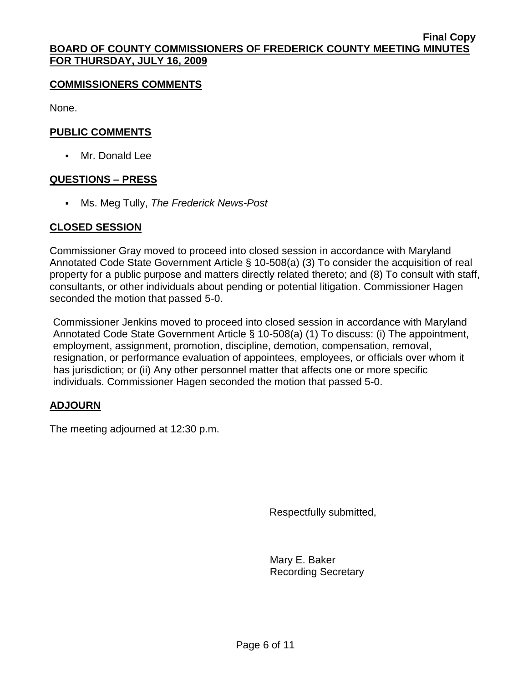#### **COMMISSIONERS COMMENTS**

None.

### **PUBLIC COMMENTS**

Mr. Donald Lee

#### **QUESTIONS – PRESS**

Ms. Meg Tully, *The Frederick News-Post*

#### **CLOSED SESSION**

Commissioner Gray moved to proceed into closed session in accordance with Maryland Annotated Code State Government Article § 10-508(a) (3) To consider the acquisition of real property for a public purpose and matters directly related thereto; and (8) To consult with staff, consultants, or other individuals about pending or potential litigation. Commissioner Hagen seconded the motion that passed 5-0.

Commissioner Jenkins moved to proceed into closed session in accordance with Maryland Annotated Code State Government Article § 10-508(a) (1) To discuss: (i) The appointment, employment, assignment, promotion, discipline, demotion, compensation, removal, resignation, or performance evaluation of appointees, employees, or officials over whom it has jurisdiction; or (ii) Any other personnel matter that affects one or more specific individuals. Commissioner Hagen seconded the motion that passed 5-0.

## **ADJOURN**

The meeting adjourned at 12:30 p.m.

Respectfully submitted,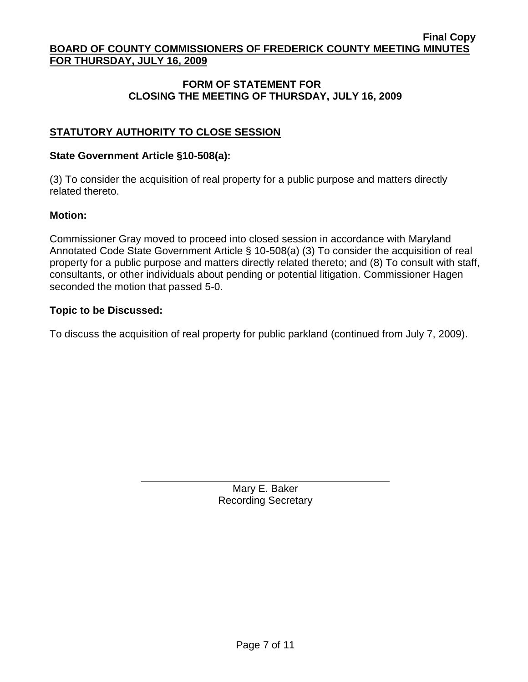## **FORM OF STATEMENT FOR CLOSING THE MEETING OF THURSDAY, JULY 16, 2009**

# **STATUTORY AUTHORITY TO CLOSE SESSION**

#### **State Government Article §10-508(a):**

(3) To consider the acquisition of real property for a public purpose and matters directly related thereto.

#### **Motion:**

Commissioner Gray moved to proceed into closed session in accordance with Maryland Annotated Code State Government Article § 10-508(a) (3) To consider the acquisition of real property for a public purpose and matters directly related thereto; and (8) To consult with staff, consultants, or other individuals about pending or potential litigation. Commissioner Hagen seconded the motion that passed 5-0.

#### **Topic to be Discussed:**

To discuss the acquisition of real property for public parkland (continued from July 7, 2009).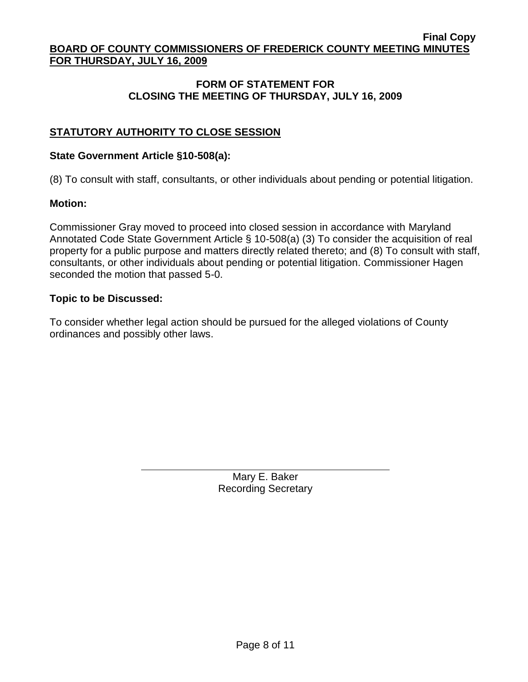## **FORM OF STATEMENT FOR CLOSING THE MEETING OF THURSDAY, JULY 16, 2009**

# **STATUTORY AUTHORITY TO CLOSE SESSION**

#### **State Government Article §10-508(a):**

(8) To consult with staff, consultants, or other individuals about pending or potential litigation.

#### **Motion:**

Commissioner Gray moved to proceed into closed session in accordance with Maryland Annotated Code State Government Article § 10-508(a) (3) To consider the acquisition of real property for a public purpose and matters directly related thereto; and (8) To consult with staff, consultants, or other individuals about pending or potential litigation. Commissioner Hagen seconded the motion that passed 5-0.

#### **Topic to be Discussed:**

To consider whether legal action should be pursued for the alleged violations of County ordinances and possibly other laws.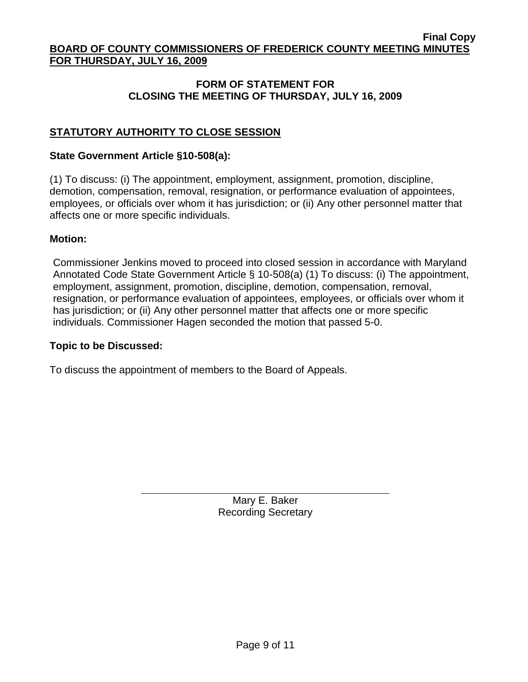## **FORM OF STATEMENT FOR CLOSING THE MEETING OF THURSDAY, JULY 16, 2009**

# **STATUTORY AUTHORITY TO CLOSE SESSION**

### **State Government Article §10-508(a):**

(1) To discuss: (i) The appointment, employment, assignment, promotion, discipline, demotion, compensation, removal, resignation, or performance evaluation of appointees, employees, or officials over whom it has jurisdiction; or (ii) Any other personnel matter that affects one or more specific individuals.

#### **Motion:**

Commissioner Jenkins moved to proceed into closed session in accordance with Maryland Annotated Code State Government Article § 10-508(a) (1) To discuss: (i) The appointment, employment, assignment, promotion, discipline, demotion, compensation, removal, resignation, or performance evaluation of appointees, employees, or officials over whom it has jurisdiction; or (ii) Any other personnel matter that affects one or more specific individuals. Commissioner Hagen seconded the motion that passed 5-0.

#### **Topic to be Discussed:**

To discuss the appointment of members to the Board of Appeals.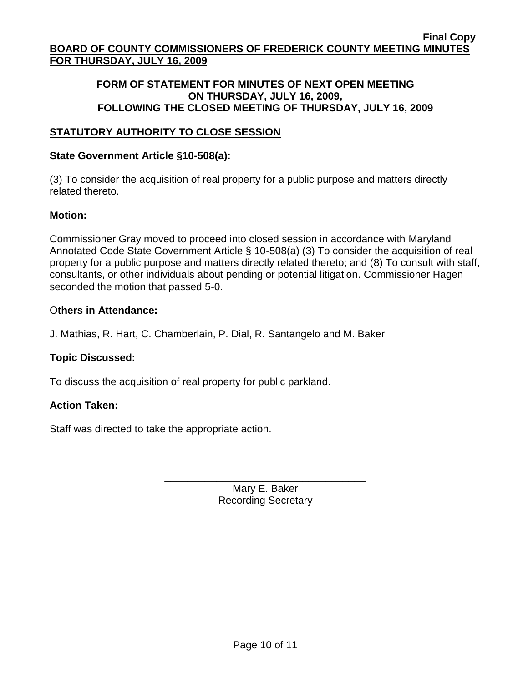## **FORM OF STATEMENT FOR MINUTES OF NEXT OPEN MEETING ON THURSDAY, JULY 16, 2009, FOLLOWING THE CLOSED MEETING OF THURSDAY, JULY 16, 2009**

## **STATUTORY AUTHORITY TO CLOSE SESSION**

### **State Government Article §10-508(a):**

(3) To consider the acquisition of real property for a public purpose and matters directly related thereto.

#### **Motion:**

Commissioner Gray moved to proceed into closed session in accordance with Maryland Annotated Code State Government Article § 10-508(a) (3) To consider the acquisition of real property for a public purpose and matters directly related thereto; and (8) To consult with staff, consultants, or other individuals about pending or potential litigation. Commissioner Hagen seconded the motion that passed 5-0.

#### O**thers in Attendance:**

J. Mathias, R. Hart, C. Chamberlain, P. Dial, R. Santangelo and M. Baker

## **Topic Discussed:**

To discuss the acquisition of real property for public parkland.

#### **Action Taken:**

Staff was directed to take the appropriate action.

Mary E. Baker Recording Secretary

\_\_\_\_\_\_\_\_\_\_\_\_\_\_\_\_\_\_\_\_\_\_\_\_\_\_\_\_\_\_\_\_\_\_\_